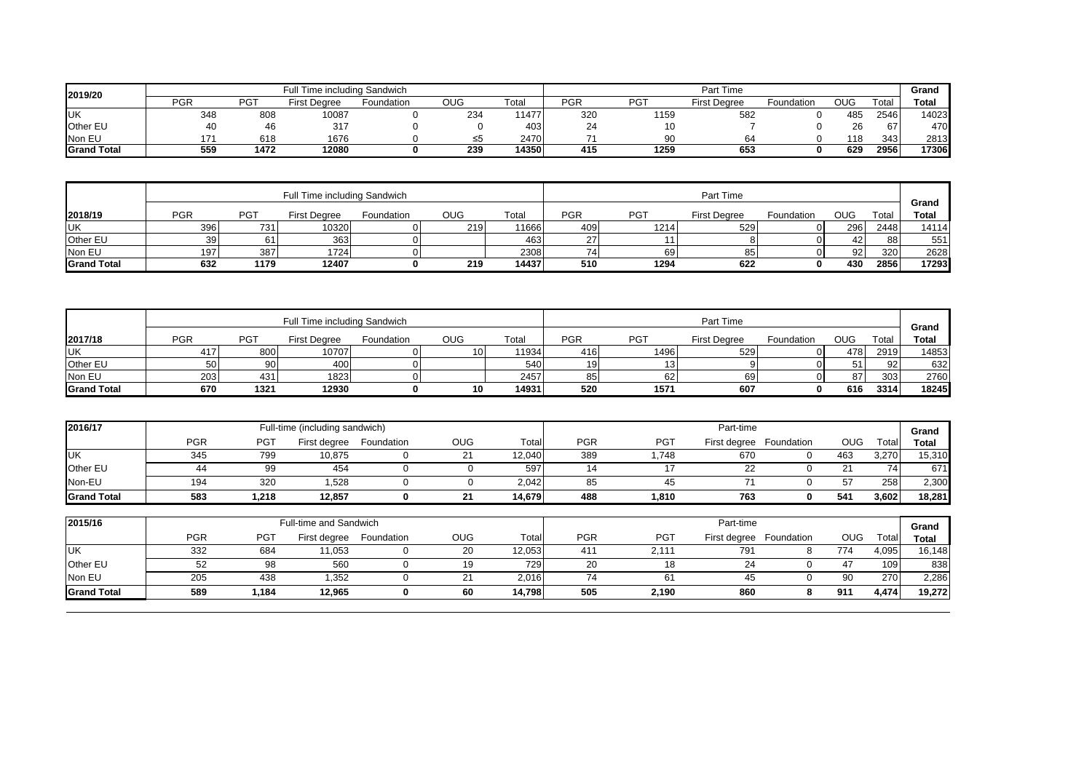| 2019/20            |     |      | Full Time including Sandwich |            |            |       | Part Time      |                 |                     |            |            |       | Grand        |
|--------------------|-----|------|------------------------------|------------|------------|-------|----------------|-----------------|---------------------|------------|------------|-------|--------------|
|                    | PGR | PG1  | : Dearee<br>First            | Foundation | <b>OUG</b> | ™otai | <b>PGR</b>     | PG <sub>1</sub> | <b>First Dearee</b> | Foundation | <b>OUG</b> | Total | <b>Total</b> |
| <b>UK</b>          | 348 | 808  | 10087                        |            | 234        | 11477 | 32C            | 1159            | 582                 |            | 485        | 2546  | 14023        |
| Other EL           | 40  | 46   | 317                          |            |            | 403   | 24             |                 |                     |            | 26         | 67    | 470          |
| Non EU             | י ד | 618  | 1676                         |            | ≤5         | 2470  | $\overline{u}$ | 90              |                     |            | 118        | 343   | 2813         |
| <b>Grand Total</b> | 559 | 1472 | 12080                        |            | 239        | 14350 | 415            | 1259            | 653                 |            | 629        | 2956  | 17306        |

|                    |                 |            | Full Time including Sandwich |            |            | Part Time |            |            |                     |            |                 | Grand |       |
|--------------------|-----------------|------------|------------------------------|------------|------------|-----------|------------|------------|---------------------|------------|-----------------|-------|-------|
| 2018/19            | PGR             | <b>PGT</b> | <b>First Dearee</b>          | Foundation | <b>OUG</b> | Total     | <b>PGR</b> | <b>PGT</b> | <b>First Dearee</b> | Foundation | <b>OUG</b>      | Гоtal | Total |
| <b>UK</b>          | 396             | 731.       | 10320                        |            | 219        | 1666      | 409        | 1214       | 529                 |            | 296             | 2448  | 14114 |
| <b>Other EU</b>    | 39 <sub>l</sub> |            | 363                          |            |            | 463       | 27         |            |                     |            |                 | 88    | 551   |
| Non EU             | 197             | 387        | 17241                        |            |            | 2308      | 74         | 69         | 85                  |            | 92 <sub>l</sub> | 320   | 2628  |
| <b>Grand Total</b> | 632             | 1179       | 12407                        |            | 219        | 14437     | 510        | 1294       | 622                 |            | 430             | 2856  | 17293 |

|                    | Full Time including Sandwich |            |                     |            |            |       |            | Part Time  |                     |            |            |       |                       |
|--------------------|------------------------------|------------|---------------------|------------|------------|-------|------------|------------|---------------------|------------|------------|-------|-----------------------|
| 2017/18            | <b>PGR</b>                   | <b>PGT</b> | <b>First Degree</b> | Foundation | <b>OUG</b> | Total | <b>PGF</b> | <b>PGT</b> | <b>First Degree</b> | Foundation | <b>OUG</b> | Total | Grand<br><b>Total</b> |
| <b>IUK</b>         | 417                          | 800        | 10707               |            |            | 11934 | 416        | 1496       | 529                 |            | 478        | 2919  | 14853                 |
| <b>Other EU</b>    | 50                           | 90         | 400                 |            |            | 540   | 191        |            |                     |            | 51         | 92    | 632                   |
| Non EU             | 203                          | 431        | 1823                |            |            | 2457  | 85         | ດຕ<br>οz   | 69                  |            | 87         | 303   | 2760                  |
| <b>Grand Total</b> | 670                          | 1321       | 12930               |            | 10         | 14931 | 520        | 1571       | 607                 |            | 616        | 3314  | 18245                 |

| 2016/17            |            |      | Full-time (including sandwich) |            |            |        | Part-time |                 |     |                         |            |        | Grand  |
|--------------------|------------|------|--------------------------------|------------|------------|--------|-----------|-----------------|-----|-------------------------|------------|--------|--------|
|                    | <b>PGR</b> | PG1  | First degree                   | Foundation | <b>OUG</b> | Total  | PGR       | PG <sub>1</sub> |     | First degree Foundation | <b>OUG</b> | Totall | Total  |
| IUК                | 345        | 799  | 10,875                         |            | $\sim$     | 12.040 | 389       | .748            | 670 |                         | 463        | 3.270  | 15.310 |
| Other EU           |            | 99   | 454                            |            |            | 597    | 14        |                 | ∠∠  |                         | $^{\circ}$ | 741    | 671    |
| Non-EU             | 194        | 320  | .528                           |            |            | 2.042  | 85        |                 |     |                         | 57         | 258    | 2,300  |
| <b>Grand Total</b> | 583        | .218 | 12,857                         |            | - 14       | 14.679 | 488       | 1.810           | 763 |                         | 541        | ا 602. | 18.281 |

| 2015/16            |            |            | Full-time and Sandwich |            |            | Part-time |            |                 |     |                         |     |       |        |
|--------------------|------------|------------|------------------------|------------|------------|-----------|------------|-----------------|-----|-------------------------|-----|-------|--------|
|                    | <b>PGR</b> | <b>PGT</b> | First degree           | Foundation | <b>OUG</b> | Total     | <b>PGR</b> | PG <sub>7</sub> |     | First degree Foundation | OUG | ™otai | Total  |
| <b>UK</b>          | 332        | 684        | 11.053                 |            | 20         | 12.053    | 411        | 2.111           | 791 |                         | 774 | 4.095 | 16.148 |
| <b>Other EU</b>    |            | 98         | 560                    |            | 19         | 7291      | 20         | 18              | 24  |                         |     | 109   | 838    |
| Non EU             | 205        | 438        | 352. ا                 |            | ∠ ا        | 2,016     |            |                 | 45  |                         | 90  | 270   | 2,286  |
| <b>Grand Total</b> | 589        | 184,       | 12.965                 |            | 60         | 14.798    | 505        | 2,190           | 860 |                         | 911 | 4,474 | 19.272 |